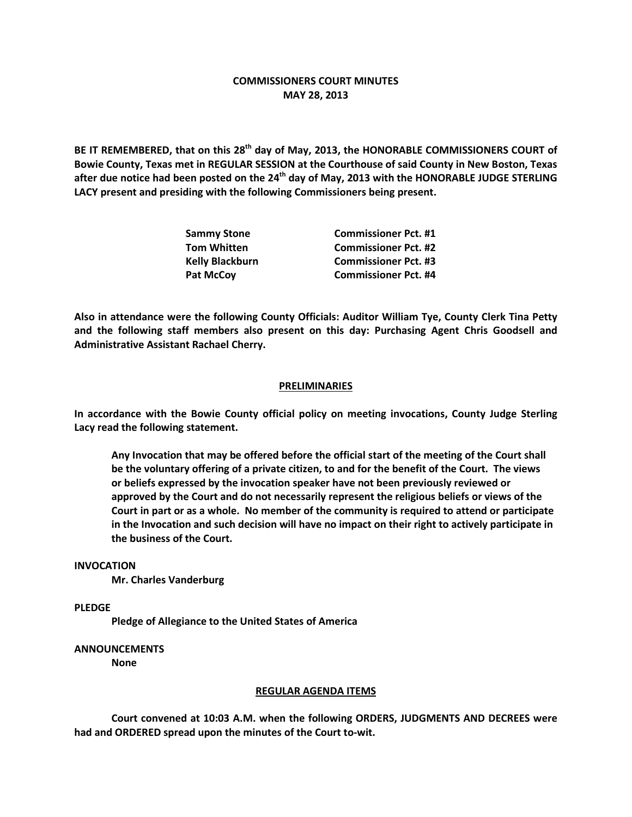# **COMMISSIONERS COURT MINUTES MAY 28, 2013**

**BE IT REMEMBERED, that on this 28th day of May, 2013, the HONORABLE COMMISSIONERS COURT of Bowie County, Texas met in REGULAR SESSION at the Courthouse of said County in New Boston, Texas after due notice had been posted on the 24th day of May, 2013 with the HONORABLE JUDGE STERLING LACY present and presiding with the following Commissioners being present.**

| <b>Sammy Stone</b>     | <b>Commissioner Pct. #1</b> |
|------------------------|-----------------------------|
| <b>Tom Whitten</b>     | <b>Commissioner Pct. #2</b> |
| <b>Kelly Blackburn</b> | <b>Commissioner Pct. #3</b> |
| <b>Pat McCoy</b>       | <b>Commissioner Pct. #4</b> |

**Also in attendance were the following County Officials: Auditor William Tye, County Clerk Tina Petty and the following staff members also present on this day: Purchasing Agent Chris Goodsell and Administrative Assistant Rachael Cherry.**

## **PRELIMINARIES**

**In accordance with the Bowie County official policy on meeting invocations, County Judge Sterling Lacy read the following statement.**

**Any Invocation that may be offered before the official start of the meeting of the Court shall be the voluntary offering of a private citizen, to and for the benefit of the Court. The views or beliefs expressed by the invocation speaker have not been previously reviewed or approved by the Court and do not necessarily represent the religious beliefs or views of the Court in part or as a whole. No member of the community is required to attend or participate in the Invocation and such decision will have no impact on their right to actively participate in the business of the Court.**

#### **INVOCATION**

**Mr. Charles Vanderburg**

**PLEDGE**

**Pledge of Allegiance to the United States of America**

### **ANNOUNCEMENTS**

**None**

#### **REGULAR AGENDA ITEMS**

**Court convened at 10:03 A.M. when the following ORDERS, JUDGMENTS AND DECREES were had and ORDERED spread upon the minutes of the Court to-wit.**